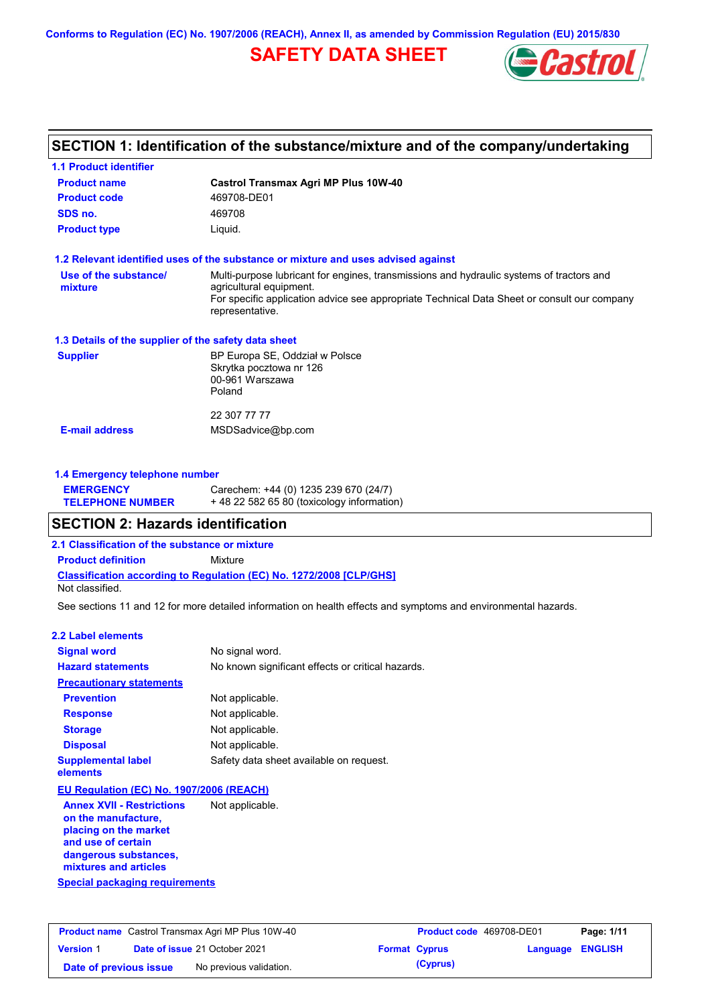**Conforms to Regulation (EC) No. 1907/2006 (REACH), Annex II, as amended by Commission Regulation (EU) 2015/830**

# **SAFETY DATA SHEET**



# **SECTION 1: Identification of the substance/mixture and of the company/undertaking**

| <b>1.1 Product identifier</b>                        |                                                                                                                                           |
|------------------------------------------------------|-------------------------------------------------------------------------------------------------------------------------------------------|
| <b>Product name</b>                                  | Castrol Transmax Agri MP Plus 10W-40                                                                                                      |
| <b>Product code</b>                                  | 469708-DE01                                                                                                                               |
| SDS no.                                              | 469708                                                                                                                                    |
| <b>Product type</b>                                  | Liquid.                                                                                                                                   |
|                                                      | 1.2 Relevant identified uses of the substance or mixture and uses advised against                                                         |
| Use of the substance/                                | Multi-purpose lubricant for engines, transmissions and hydraulic systems of tractors and                                                  |
| mixture                                              | agricultural equipment.<br>For specific application advice see appropriate Technical Data Sheet or consult our company<br>representative. |
| 1.3 Details of the supplier of the safety data sheet |                                                                                                                                           |
| <b>Supplier</b>                                      | BP Europa SE, Oddział w Polsce                                                                                                            |
|                                                      | Skrytka pocztowa nr 126                                                                                                                   |
|                                                      | 00-961 Warszawa<br>Poland                                                                                                                 |
|                                                      |                                                                                                                                           |
|                                                      | 22 307 77 77                                                                                                                              |
| <b>E-mail address</b>                                | MSDSadvice@bp.com                                                                                                                         |
| 1.4 Emergency telephone number                       |                                                                                                                                           |
| <b>EMERGENCY</b>                                     | Carechem: +44 (0) 1235 239 670 (24/7)                                                                                                     |
| <b>TELEPHONE NUMBER</b>                              | +48 22 582 65 80 (toxicology information)                                                                                                 |
| <b>SECTION 2: Hazards identification</b>             |                                                                                                                                           |
| 2.1 Classification of the substance or mixture       |                                                                                                                                           |
| <b>Product definition</b>                            | Mixture                                                                                                                                   |
| Not classified.                                      | <b>Classification according to Regulation (EC) No. 1272/2008 [CLP/GHS]</b>                                                                |
|                                                      | See sections 11 and 12 for more detailed information on health effects and symptoms and environmental hazards.                            |
| <b>2.2 Label elements</b>                            |                                                                                                                                           |
| <b>Signal word</b>                                   | No signal word.                                                                                                                           |
| <b>Hazard statements</b>                             | No known significant effects or critical hazards.                                                                                         |
| <b>Precautionary statements</b>                      |                                                                                                                                           |
| <b>Prevention</b>                                    | Not applicable.                                                                                                                           |
| <b>Response</b>                                      | Not applicable.                                                                                                                           |
| <b>Storage</b>                                       | Not applicable.                                                                                                                           |
| <b>Disposal</b>                                      | Not applicable.                                                                                                                           |
| <b>Supplemental label</b><br>elements                | Safety data sheet available on request.                                                                                                   |
| EU Regulation (EC) No. 1907/2006 (REACH)             |                                                                                                                                           |
| <b>Annex XVII - Restrictions</b>                     | Not applicable.                                                                                                                           |
|                                                      |                                                                                                                                           |

**Special packaging requirements on the manufacture, placing on the market and use of certain dangerous substances, mixtures and articles**

| <b>Product name</b> Castrol Transmax Agri MP Plus 10W-40 |  | <b>Product code</b> 469708-DE01      |  | Page: 1/11           |                         |  |
|----------------------------------------------------------|--|--------------------------------------|--|----------------------|-------------------------|--|
| <b>Version 1</b>                                         |  | <b>Date of issue 21 October 2021</b> |  | <b>Format Cyprus</b> | <b>Language ENGLISH</b> |  |
| Date of previous issue                                   |  | No previous validation.              |  | (Cyprus)             |                         |  |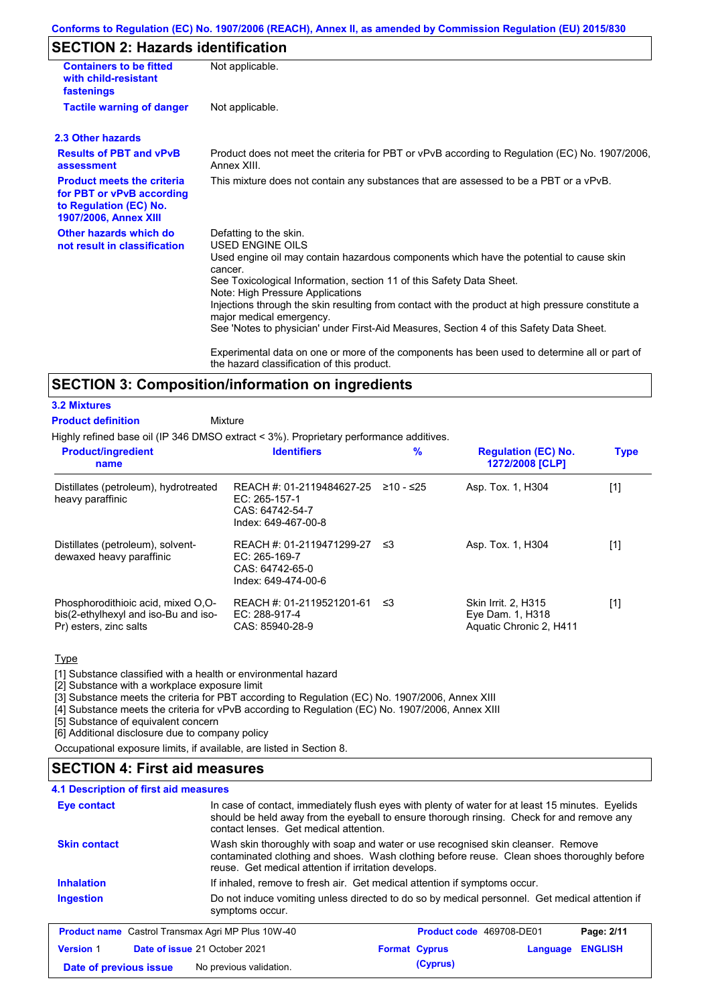#### **Conforms to Regulation (EC) No. 1907/2006 (REACH), Annex II, as amended by Commission Regulation (EU) 2015/830**

# **SECTION 2: Hazards identification**

| <b>Containers to be fitted</b><br>with child-resistant<br>fastenings                                                     | Not applicable.                                                                                                                                                                                                                                                                                                                                                                                                                                                                                                                                                                                                                               |
|--------------------------------------------------------------------------------------------------------------------------|-----------------------------------------------------------------------------------------------------------------------------------------------------------------------------------------------------------------------------------------------------------------------------------------------------------------------------------------------------------------------------------------------------------------------------------------------------------------------------------------------------------------------------------------------------------------------------------------------------------------------------------------------|
| <b>Tactile warning of danger</b>                                                                                         | Not applicable.                                                                                                                                                                                                                                                                                                                                                                                                                                                                                                                                                                                                                               |
| 2.3 Other hazards                                                                                                        |                                                                                                                                                                                                                                                                                                                                                                                                                                                                                                                                                                                                                                               |
| <b>Results of PBT and vPvB</b><br>assessment                                                                             | Product does not meet the criteria for PBT or vPvB according to Regulation (EC) No. 1907/2006,<br>Annex XIII.                                                                                                                                                                                                                                                                                                                                                                                                                                                                                                                                 |
| <b>Product meets the criteria</b><br>for PBT or vPvB according<br>to Regulation (EC) No.<br><b>1907/2006, Annex XIII</b> | This mixture does not contain any substances that are assessed to be a PBT or a vPvB.                                                                                                                                                                                                                                                                                                                                                                                                                                                                                                                                                         |
| Other hazards which do<br>not result in classification                                                                   | Defatting to the skin.<br><b>USED ENGINE OILS</b><br>Used engine oil may contain hazardous components which have the potential to cause skin<br>cancer.<br>See Toxicological Information, section 11 of this Safety Data Sheet.<br>Note: High Pressure Applications<br>Injections through the skin resulting from contact with the product at high pressure constitute a<br>major medical emergency.<br>See 'Notes to physician' under First-Aid Measures, Section 4 of this Safety Data Sheet.<br>Experimental data on one or more of the components has been used to determine all or part of<br>the hazard classification of this product. |

## **SECTION 3: Composition/information on ingredients**

#### **3.2 Mixtures**

Mixture **Product definition**

Highly refined base oil (IP 346 DMSO extract < 3%). Proprietary performance additives.

| <b>Product/ingredient</b><br>name                                                                    | <b>Identifiers</b>                                                                     | %         | <b>Regulation (EC) No.</b><br>1272/2008 [CLP]                      | <b>Type</b> |
|------------------------------------------------------------------------------------------------------|----------------------------------------------------------------------------------------|-----------|--------------------------------------------------------------------|-------------|
| Distillates (petroleum), hydrotreated<br>heavy paraffinic                                            | REACH #: 01-2119484627-25<br>EC: $265-157-1$<br>CAS: 64742-54-7<br>Index: 649-467-00-8 | ≥10 - ≤25 | Asp. Tox. 1, H304                                                  | [1]         |
| Distillates (petroleum), solvent-<br>dewaxed heavy paraffinic                                        | REACH #: 01-2119471299-27<br>$EC: 265-169-7$<br>CAS: 64742-65-0<br>Index: 649-474-00-6 | - ≤3      | Asp. Tox. 1, H304                                                  | [1]         |
| Phosphorodithioic acid, mixed O.O-<br>bis(2-ethylhexyl and iso-Bu and iso-<br>Pr) esters, zinc salts | REACH #: 01-2119521201-61<br>EC: 288-917-4<br>CAS: 85940-28-9                          | ב≥        | Skin Irrit. 2, H315<br>Eye Dam. 1, H318<br>Aquatic Chronic 2, H411 | [1]         |

**Type** 

[1] Substance classified with a health or environmental hazard

[2] Substance with a workplace exposure limit

[3] Substance meets the criteria for PBT according to Regulation (EC) No. 1907/2006, Annex XIII

[4] Substance meets the criteria for vPvB according to Regulation (EC) No. 1907/2006, Annex XIII

[5] Substance of equivalent concern

[6] Additional disclosure due to company policy

Occupational exposure limits, if available, are listed in Section 8.

### **SECTION 4: First aid measures**

#### **4.1 Description of first aid measures**

| In case of contact, immediately flush eyes with plenty of water for at least 15 minutes. Eyelids<br>Eye contact<br>should be held away from the eyeball to ensure thorough rinsing. Check for and remove any<br>contact lenses. Get medical attention. |                                                                                                                                                                                                                                        |                          |          |                |
|--------------------------------------------------------------------------------------------------------------------------------------------------------------------------------------------------------------------------------------------------------|----------------------------------------------------------------------------------------------------------------------------------------------------------------------------------------------------------------------------------------|--------------------------|----------|----------------|
| <b>Skin contact</b>                                                                                                                                                                                                                                    | Wash skin thoroughly with soap and water or use recognised skin cleanser. Remove<br>contaminated clothing and shoes. Wash clothing before reuse. Clean shoes thoroughly before<br>reuse. Get medical attention if irritation develops. |                          |          |                |
| <b>Inhalation</b>                                                                                                                                                                                                                                      | If inhaled, remove to fresh air. Get medical attention if symptoms occur.                                                                                                                                                              |                          |          |                |
| <b>Ingestion</b>                                                                                                                                                                                                                                       | Do not induce vomiting unless directed to do so by medical personnel. Get medical attention if<br>symptoms occur.                                                                                                                      |                          |          |                |
| <b>Product name</b> Castrol Transmax Agri MP Plus 10W-40                                                                                                                                                                                               |                                                                                                                                                                                                                                        | Product code 469708-DE01 |          | Page: 2/11     |
| <b>Version 1</b><br>Date of issue 21 October 2021                                                                                                                                                                                                      |                                                                                                                                                                                                                                        | <b>Format Cyprus</b>     | Language | <b>ENGLISH</b> |
| Date of previous issue                                                                                                                                                                                                                                 | No previous validation.                                                                                                                                                                                                                | (Cyprus)                 |          |                |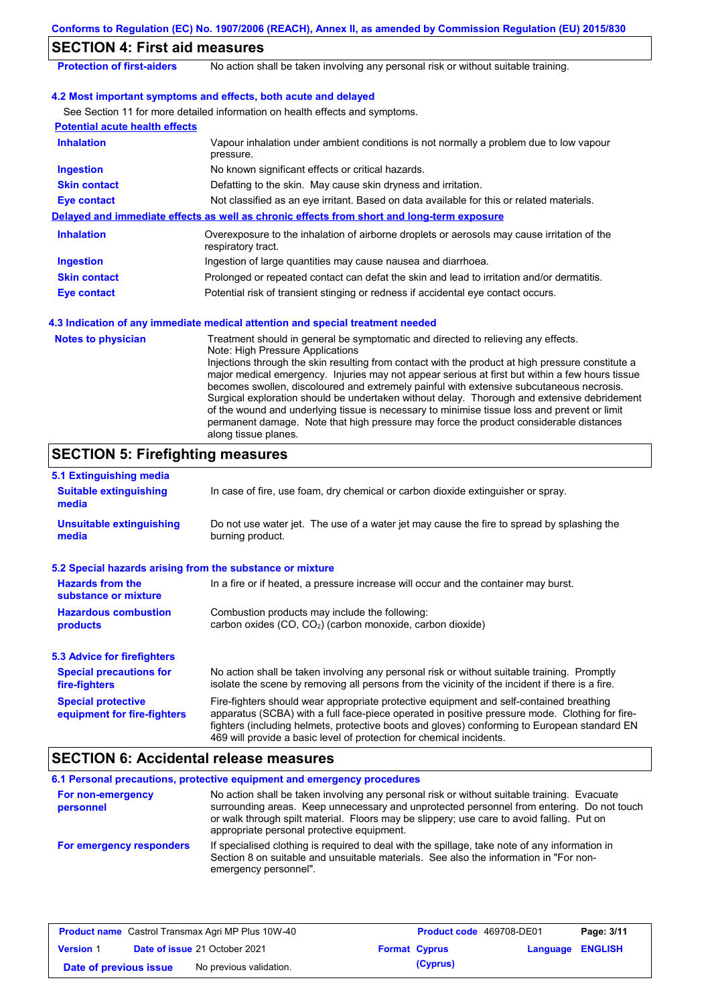| <b>SECTION 4: First aid measures</b>                              |                                                                                                                                                                                                                                                                                                                                                                                                                                                                                                                                                                                                                                                                                                                                            |  |  |  |
|-------------------------------------------------------------------|--------------------------------------------------------------------------------------------------------------------------------------------------------------------------------------------------------------------------------------------------------------------------------------------------------------------------------------------------------------------------------------------------------------------------------------------------------------------------------------------------------------------------------------------------------------------------------------------------------------------------------------------------------------------------------------------------------------------------------------------|--|--|--|
| <b>Protection of first-aiders</b>                                 | No action shall be taken involving any personal risk or without suitable training.                                                                                                                                                                                                                                                                                                                                                                                                                                                                                                                                                                                                                                                         |  |  |  |
|                                                                   | 4.2 Most important symptoms and effects, both acute and delayed                                                                                                                                                                                                                                                                                                                                                                                                                                                                                                                                                                                                                                                                            |  |  |  |
|                                                                   | See Section 11 for more detailed information on health effects and symptoms.                                                                                                                                                                                                                                                                                                                                                                                                                                                                                                                                                                                                                                                               |  |  |  |
| <b>Potential acute health effects</b>                             |                                                                                                                                                                                                                                                                                                                                                                                                                                                                                                                                                                                                                                                                                                                                            |  |  |  |
| <b>Inhalation</b>                                                 | Vapour inhalation under ambient conditions is not normally a problem due to low vapour<br>pressure.                                                                                                                                                                                                                                                                                                                                                                                                                                                                                                                                                                                                                                        |  |  |  |
| <b>Ingestion</b>                                                  | No known significant effects or critical hazards.                                                                                                                                                                                                                                                                                                                                                                                                                                                                                                                                                                                                                                                                                          |  |  |  |
| <b>Skin contact</b>                                               | Defatting to the skin. May cause skin dryness and irritation.                                                                                                                                                                                                                                                                                                                                                                                                                                                                                                                                                                                                                                                                              |  |  |  |
| <b>Eye contact</b>                                                | Not classified as an eye irritant. Based on data available for this or related materials.                                                                                                                                                                                                                                                                                                                                                                                                                                                                                                                                                                                                                                                  |  |  |  |
|                                                                   | Delayed and immediate effects as well as chronic effects from short and long-term exposure                                                                                                                                                                                                                                                                                                                                                                                                                                                                                                                                                                                                                                                 |  |  |  |
| <b>Inhalation</b>                                                 | Overexposure to the inhalation of airborne droplets or aerosols may cause irritation of the<br>respiratory tract.                                                                                                                                                                                                                                                                                                                                                                                                                                                                                                                                                                                                                          |  |  |  |
| <b>Ingestion</b>                                                  | Ingestion of large quantities may cause nausea and diarrhoea.                                                                                                                                                                                                                                                                                                                                                                                                                                                                                                                                                                                                                                                                              |  |  |  |
| <b>Skin contact</b>                                               | Prolonged or repeated contact can defat the skin and lead to irritation and/or dermatitis.                                                                                                                                                                                                                                                                                                                                                                                                                                                                                                                                                                                                                                                 |  |  |  |
| <b>Eye contact</b>                                                | Potential risk of transient stinging or redness if accidental eye contact occurs.                                                                                                                                                                                                                                                                                                                                                                                                                                                                                                                                                                                                                                                          |  |  |  |
|                                                                   | 4.3 Indication of any immediate medical attention and special treatment needed                                                                                                                                                                                                                                                                                                                                                                                                                                                                                                                                                                                                                                                             |  |  |  |
| <b>Notes to physician</b>                                         | Treatment should in general be symptomatic and directed to relieving any effects.<br>Note: High Pressure Applications<br>Injections through the skin resulting from contact with the product at high pressure constitute a<br>major medical emergency. Injuries may not appear serious at first but within a few hours tissue<br>becomes swollen, discoloured and extremely painful with extensive subcutaneous necrosis.<br>Surgical exploration should be undertaken without delay. Thorough and extensive debridement<br>of the wound and underlying tissue is necessary to minimise tissue loss and prevent or limit<br>permanent damage. Note that high pressure may force the product considerable distances<br>along tissue planes. |  |  |  |
| <b>SECTION 5: Firefighting measures</b>                           |                                                                                                                                                                                                                                                                                                                                                                                                                                                                                                                                                                                                                                                                                                                                            |  |  |  |
| 5.1 Extinguishing media<br><b>Suitable extinguishing</b><br>media | In case of fire, use foam, dry chemical or carbon dioxide extinguisher or spray.                                                                                                                                                                                                                                                                                                                                                                                                                                                                                                                                                                                                                                                           |  |  |  |
| <b>Unsuitable extinguishing</b><br>media                          | Do not use water jet. The use of a water jet may cause the fire to spread by splashing the<br>burning product.                                                                                                                                                                                                                                                                                                                                                                                                                                                                                                                                                                                                                             |  |  |  |
|                                                                   | 5.2 Special hazards arising from the substance or mixture                                                                                                                                                                                                                                                                                                                                                                                                                                                                                                                                                                                                                                                                                  |  |  |  |
| <b>Hazards from the</b><br>substance or mixture                   | In a fire or if heated, a pressure increase will occur and the container may burst.                                                                                                                                                                                                                                                                                                                                                                                                                                                                                                                                                                                                                                                        |  |  |  |
| <b>Hazardous combustion</b><br>products                           | Combustion products may include the following:<br>carbon oxides (CO, CO <sub>2</sub> ) (carbon monoxide, carbon dioxide)                                                                                                                                                                                                                                                                                                                                                                                                                                                                                                                                                                                                                   |  |  |  |
| <b>5.3 Advice for firefighters</b>                                |                                                                                                                                                                                                                                                                                                                                                                                                                                                                                                                                                                                                                                                                                                                                            |  |  |  |
| <b>Special precautions for</b><br>fire-fighters                   | No action shall be taken involving any personal risk or without suitable training. Promptly<br>isolate the scene by removing all persons from the vicinity of the incident if there is a fire.                                                                                                                                                                                                                                                                                                                                                                                                                                                                                                                                             |  |  |  |
| <b>Special protective</b>                                         | Fire-fighters should wear appropriate protective equipment and self-contained breathing                                                                                                                                                                                                                                                                                                                                                                                                                                                                                                                                                                                                                                                    |  |  |  |

# **SECTION 6: Accidental release measures**

**equipment for fire-fighters**

|                                | 6.1 Personal precautions, protective equipment and emergency procedures                                                                                                                                                                                                                                                             |
|--------------------------------|-------------------------------------------------------------------------------------------------------------------------------------------------------------------------------------------------------------------------------------------------------------------------------------------------------------------------------------|
| For non-emergency<br>personnel | No action shall be taken involving any personal risk or without suitable training. Evacuate<br>surrounding areas. Keep unnecessary and unprotected personnel from entering. Do not touch<br>or walk through spilt material. Floors may be slippery; use care to avoid falling. Put on<br>appropriate personal protective equipment. |
| For emergency responders       | If specialised clothing is required to deal with the spillage, take note of any information in<br>Section 8 on suitable and unsuitable materials. See also the information in "For non-<br>emergency personnel".                                                                                                                    |

469 will provide a basic level of protection for chemical incidents.

apparatus (SCBA) with a full face-piece operated in positive pressure mode. Clothing for firefighters (including helmets, protective boots and gloves) conforming to European standard EN

| <b>Product name</b> Castrol Transmax Agri MP Plus 10W-40 |  |                                      | Product code 469708-DE01 | Page: 3/11           |                         |  |
|----------------------------------------------------------|--|--------------------------------------|--------------------------|----------------------|-------------------------|--|
| <b>Version 1</b>                                         |  | <b>Date of issue 21 October 2021</b> |                          | <b>Format Cyprus</b> | <b>Language ENGLISH</b> |  |
| Date of previous issue                                   |  | No previous validation.              |                          | (Cyprus)             |                         |  |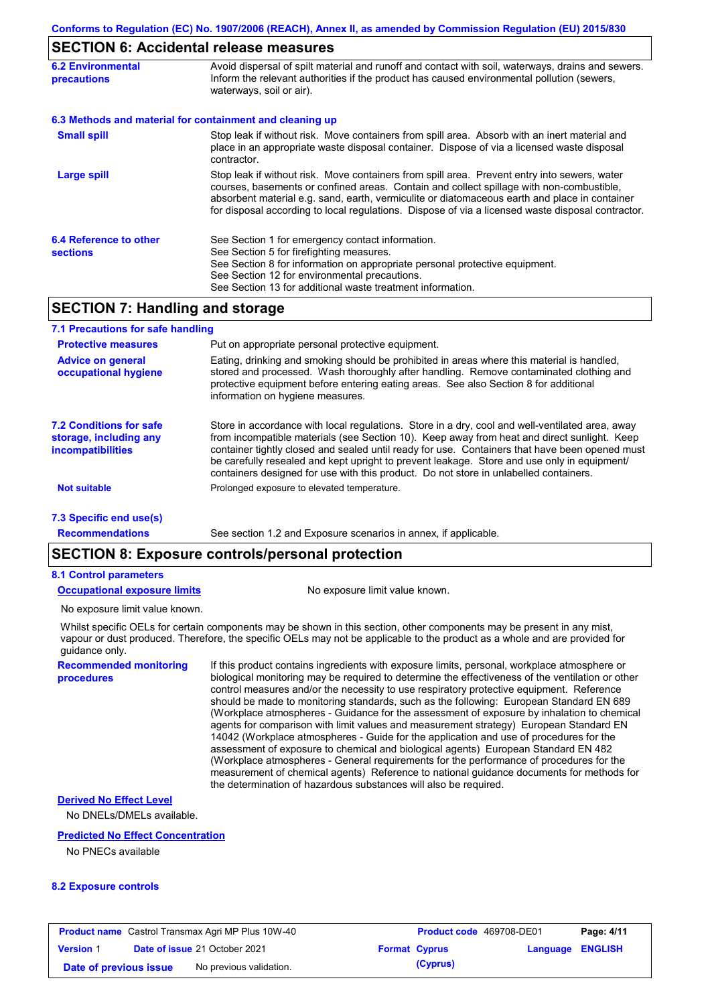## **SECTION 6: Accidental release measures**

| <b>6.2 Environmental</b><br>precautions                                                                                                                                                                                          | Avoid dispersal of spilt material and runoff and contact with soil, waterways, drains and sewers.<br>Inform the relevant authorities if the product has caused environmental pollution (sewers,<br>waterways, soil or air).                                                                                                                                                                    |
|----------------------------------------------------------------------------------------------------------------------------------------------------------------------------------------------------------------------------------|------------------------------------------------------------------------------------------------------------------------------------------------------------------------------------------------------------------------------------------------------------------------------------------------------------------------------------------------------------------------------------------------|
|                                                                                                                                                                                                                                  | 6.3 Methods and material for containment and cleaning up                                                                                                                                                                                                                                                                                                                                       |
| <b>Small spill</b><br>Stop leak if without risk. Move containers from spill area. Absorb with an inert material and<br>place in an appropriate waste disposal container. Dispose of via a licensed waste disposal<br>contractor. |                                                                                                                                                                                                                                                                                                                                                                                                |
| Large spill                                                                                                                                                                                                                      | Stop leak if without risk. Move containers from spill area. Prevent entry into sewers, water<br>courses, basements or confined areas. Contain and collect spillage with non-combustible,<br>absorbent material e.g. sand, earth, vermiculite or diatomaceous earth and place in container<br>for disposal according to local regulations. Dispose of via a licensed waste disposal contractor. |
| 6.4 Reference to other<br><b>sections</b>                                                                                                                                                                                        | See Section 1 for emergency contact information.<br>See Section 5 for firefighting measures.<br>See Section 8 for information on appropriate personal protective equipment.<br>See Section 12 for environmental precautions.<br>See Section 13 for additional waste treatment information.                                                                                                     |

# **SECTION 7: Handling and storage**

| 7.1 Precautions for safe handling                                                    |                                                                                                                                                                                                                                                                                                                                                                                                                                                                                          |
|--------------------------------------------------------------------------------------|------------------------------------------------------------------------------------------------------------------------------------------------------------------------------------------------------------------------------------------------------------------------------------------------------------------------------------------------------------------------------------------------------------------------------------------------------------------------------------------|
| <b>Protective measures</b>                                                           | Put on appropriate personal protective equipment.                                                                                                                                                                                                                                                                                                                                                                                                                                        |
| <b>Advice on general</b><br>occupational hygiene                                     | Eating, drinking and smoking should be prohibited in areas where this material is handled.<br>stored and processed. Wash thoroughly after handling. Remove contaminated clothing and<br>protective equipment before entering eating areas. See also Section 8 for additional<br>information on hygiene measures.                                                                                                                                                                         |
| <b>7.2 Conditions for safe</b><br>storage, including any<br><i>incompatibilities</i> | Store in accordance with local requiations. Store in a dry, cool and well-ventilated area, away<br>from incompatible materials (see Section 10). Keep away from heat and direct sunlight. Keep<br>container tightly closed and sealed until ready for use. Containers that have been opened must<br>be carefully resealed and kept upright to prevent leakage. Store and use only in equipment/<br>containers designed for use with this product. Do not store in unlabelled containers. |
| <b>Not suitable</b>                                                                  | Prolonged exposure to elevated temperature.                                                                                                                                                                                                                                                                                                                                                                                                                                              |
| 7.3 Specific end use(s)                                                              |                                                                                                                                                                                                                                                                                                                                                                                                                                                                                          |
| <b>Recommendations</b>                                                               | See section 1.2 and Exposure scenarios in annex, if applicable.                                                                                                                                                                                                                                                                                                                                                                                                                          |

# **SECTION 8: Exposure controls/personal protection**

#### **8.1 Control parameters**

**Occupational exposure limits** No exposure limit value known.

No exposure limit value known.

Whilst specific OELs for certain components may be shown in this section, other components may be present in any mist, vapour or dust produced. Therefore, the specific OELs may not be applicable to the product as a whole and are provided for guidance only.

**Recommended monitoring procedures**

If this product contains ingredients with exposure limits, personal, workplace atmosphere or biological monitoring may be required to determine the effectiveness of the ventilation or other control measures and/or the necessity to use respiratory protective equipment. Reference should be made to monitoring standards, such as the following: European Standard EN 689 (Workplace atmospheres - Guidance for the assessment of exposure by inhalation to chemical agents for comparison with limit values and measurement strategy) European Standard EN 14042 (Workplace atmospheres - Guide for the application and use of procedures for the assessment of exposure to chemical and biological agents) European Standard EN 482 (Workplace atmospheres - General requirements for the performance of procedures for the measurement of chemical agents) Reference to national guidance documents for methods for the determination of hazardous substances will also be required.

#### **Derived No Effect Level**

No DNELs/DMELs available.

#### **Predicted No Effect Concentration**

No PNECs available

#### **8.2 Exposure controls**

| <b>Product name</b> Castrol Transmax Agri MP Plus 10W-40 |  | <b>Product code</b> 469708-DE01      |  | Page: 4/11           |                         |  |
|----------------------------------------------------------|--|--------------------------------------|--|----------------------|-------------------------|--|
| <b>Version 1</b>                                         |  | <b>Date of issue 21 October 2021</b> |  | <b>Format Cyprus</b> | <b>Language ENGLISH</b> |  |
| Date of previous issue                                   |  | No previous validation.              |  | (Cyprus)             |                         |  |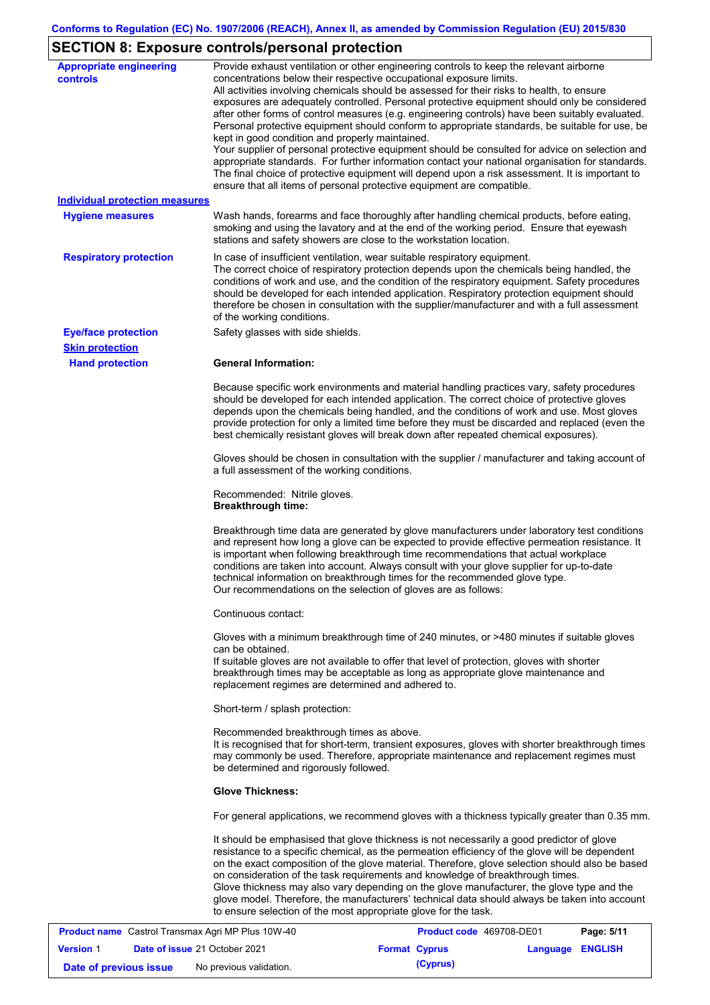# **SECTION 8: Exposure controls/personal protection**

| <b>Appropriate engineering</b><br><b>controls</b> | Provide exhaust ventilation or other engineering controls to keep the relevant airborne<br>concentrations below their respective occupational exposure limits.<br>All activities involving chemicals should be assessed for their risks to health, to ensure<br>exposures are adequately controlled. Personal protective equipment should only be considered<br>after other forms of control measures (e.g. engineering controls) have been suitably evaluated.<br>Personal protective equipment should conform to appropriate standards, be suitable for use, be<br>kept in good condition and properly maintained.<br>Your supplier of personal protective equipment should be consulted for advice on selection and<br>appropriate standards. For further information contact your national organisation for standards.<br>The final choice of protective equipment will depend upon a risk assessment. It is important to<br>ensure that all items of personal protective equipment are compatible. |
|---------------------------------------------------|---------------------------------------------------------------------------------------------------------------------------------------------------------------------------------------------------------------------------------------------------------------------------------------------------------------------------------------------------------------------------------------------------------------------------------------------------------------------------------------------------------------------------------------------------------------------------------------------------------------------------------------------------------------------------------------------------------------------------------------------------------------------------------------------------------------------------------------------------------------------------------------------------------------------------------------------------------------------------------------------------------|
| <b>Individual protection measures</b>             |                                                                                                                                                                                                                                                                                                                                                                                                                                                                                                                                                                                                                                                                                                                                                                                                                                                                                                                                                                                                         |
| <b>Hygiene measures</b>                           | Wash hands, forearms and face thoroughly after handling chemical products, before eating,<br>smoking and using the lavatory and at the end of the working period. Ensure that eyewash<br>stations and safety showers are close to the workstation location.                                                                                                                                                                                                                                                                                                                                                                                                                                                                                                                                                                                                                                                                                                                                             |
| <b>Respiratory protection</b>                     | In case of insufficient ventilation, wear suitable respiratory equipment.<br>The correct choice of respiratory protection depends upon the chemicals being handled, the<br>conditions of work and use, and the condition of the respiratory equipment. Safety procedures<br>should be developed for each intended application. Respiratory protection equipment should<br>therefore be chosen in consultation with the supplier/manufacturer and with a full assessment<br>of the working conditions.                                                                                                                                                                                                                                                                                                                                                                                                                                                                                                   |
| <b>Eye/face protection</b>                        | Safety glasses with side shields.                                                                                                                                                                                                                                                                                                                                                                                                                                                                                                                                                                                                                                                                                                                                                                                                                                                                                                                                                                       |
| <b>Skin protection</b>                            |                                                                                                                                                                                                                                                                                                                                                                                                                                                                                                                                                                                                                                                                                                                                                                                                                                                                                                                                                                                                         |
| <b>Hand protection</b>                            | <b>General Information:</b>                                                                                                                                                                                                                                                                                                                                                                                                                                                                                                                                                                                                                                                                                                                                                                                                                                                                                                                                                                             |
|                                                   | Because specific work environments and material handling practices vary, safety procedures<br>should be developed for each intended application. The correct choice of protective gloves<br>depends upon the chemicals being handled, and the conditions of work and use. Most gloves<br>provide protection for only a limited time before they must be discarded and replaced (even the<br>best chemically resistant gloves will break down after repeated chemical exposures).                                                                                                                                                                                                                                                                                                                                                                                                                                                                                                                        |
|                                                   | Gloves should be chosen in consultation with the supplier / manufacturer and taking account of<br>a full assessment of the working conditions.                                                                                                                                                                                                                                                                                                                                                                                                                                                                                                                                                                                                                                                                                                                                                                                                                                                          |
|                                                   | Recommended: Nitrile gloves.<br><b>Breakthrough time:</b>                                                                                                                                                                                                                                                                                                                                                                                                                                                                                                                                                                                                                                                                                                                                                                                                                                                                                                                                               |
|                                                   | Breakthrough time data are generated by glove manufacturers under laboratory test conditions<br>and represent how long a glove can be expected to provide effective permeation resistance. It<br>is important when following breakthrough time recommendations that actual workplace<br>conditions are taken into account. Always consult with your glove supplier for up-to-date<br>technical information on breakthrough times for the recommended glove type.<br>Our recommendations on the selection of gloves are as follows:                                                                                                                                                                                                                                                                                                                                                                                                                                                                      |
|                                                   | Continuous contact:                                                                                                                                                                                                                                                                                                                                                                                                                                                                                                                                                                                                                                                                                                                                                                                                                                                                                                                                                                                     |
|                                                   | Gloves with a minimum breakthrough time of 240 minutes, or >480 minutes if suitable gloves<br>can be obtained.<br>If suitable gloves are not available to offer that level of protection, gloves with shorter<br>breakthrough times may be acceptable as long as appropriate glove maintenance and<br>replacement regimes are determined and adhered to.                                                                                                                                                                                                                                                                                                                                                                                                                                                                                                                                                                                                                                                |
|                                                   | Short-term / splash protection:                                                                                                                                                                                                                                                                                                                                                                                                                                                                                                                                                                                                                                                                                                                                                                                                                                                                                                                                                                         |
|                                                   | Recommended breakthrough times as above.<br>It is recognised that for short-term, transient exposures, gloves with shorter breakthrough times<br>may commonly be used. Therefore, appropriate maintenance and replacement regimes must<br>be determined and rigorously followed.                                                                                                                                                                                                                                                                                                                                                                                                                                                                                                                                                                                                                                                                                                                        |
|                                                   | <b>Glove Thickness:</b>                                                                                                                                                                                                                                                                                                                                                                                                                                                                                                                                                                                                                                                                                                                                                                                                                                                                                                                                                                                 |
|                                                   | For general applications, we recommend gloves with a thickness typically greater than 0.35 mm.                                                                                                                                                                                                                                                                                                                                                                                                                                                                                                                                                                                                                                                                                                                                                                                                                                                                                                          |
|                                                   | It should be emphasised that glove thickness is not necessarily a good predictor of glove<br>resistance to a specific chemical, as the permeation efficiency of the glove will be dependent<br>on the exact composition of the glove material. Therefore, glove selection should also be based<br>on consideration of the task requirements and knowledge of breakthrough times.<br>Glove thickness may also vary depending on the glove manufacturer, the glove type and the<br>glove model. Therefore, the manufacturers' technical data should always be taken into account<br>to ensure selection of the most appropriate glove for the task.                                                                                                                                                                                                                                                                                                                                                       |
|                                                   | Dao: E144<br>Coetrol Transmay Agri MD Dlue 10W 40<br>Draduat ande, 100700 DE01                                                                                                                                                                                                                                                                                                                                                                                                                                                                                                                                                                                                                                                                                                                                                                                                                                                                                                                          |

| <b>Product name</b> Castrol Transmax Agri MP Plus 10W-40 |  |                                      | Product code 469708-DE01 |                      | Page: 5/11       |  |
|----------------------------------------------------------|--|--------------------------------------|--------------------------|----------------------|------------------|--|
| <b>Version 1</b>                                         |  | <b>Date of issue 21 October 2021</b> |                          | <b>Format Cyprus</b> | Language ENGLISH |  |
| Date of previous issue                                   |  | No previous validation.              |                          | (Cyprus)             |                  |  |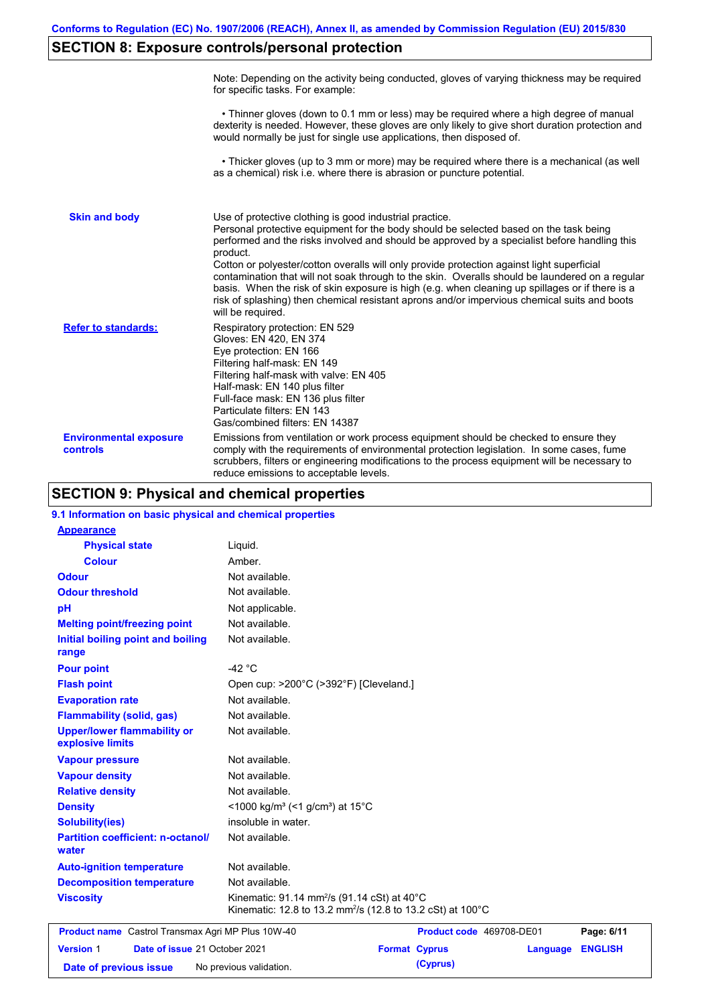# **SECTION 8: Exposure controls/personal protection**

|                                           | Note: Depending on the activity being conducted, gloves of varying thickness may be required<br>for specific tasks. For example:                                                                                                                                                                                                                                                                                                                                                                                                                                                                                                                                                      |
|-------------------------------------------|---------------------------------------------------------------------------------------------------------------------------------------------------------------------------------------------------------------------------------------------------------------------------------------------------------------------------------------------------------------------------------------------------------------------------------------------------------------------------------------------------------------------------------------------------------------------------------------------------------------------------------------------------------------------------------------|
|                                           | • Thinner gloves (down to 0.1 mm or less) may be required where a high degree of manual<br>dexterity is needed. However, these gloves are only likely to give short duration protection and<br>would normally be just for single use applications, then disposed of.                                                                                                                                                                                                                                                                                                                                                                                                                  |
|                                           | • Thicker gloves (up to 3 mm or more) may be required where there is a mechanical (as well<br>as a chemical) risk i.e. where there is abrasion or puncture potential.                                                                                                                                                                                                                                                                                                                                                                                                                                                                                                                 |
| <b>Skin and body</b>                      | Use of protective clothing is good industrial practice.<br>Personal protective equipment for the body should be selected based on the task being<br>performed and the risks involved and should be approved by a specialist before handling this<br>product.<br>Cotton or polyester/cotton overalls will only provide protection against light superficial<br>contamination that will not soak through to the skin. Overalls should be laundered on a regular<br>basis. When the risk of skin exposure is high (e.g. when cleaning up spillages or if there is a<br>risk of splashing) then chemical resistant aprons and/or impervious chemical suits and boots<br>will be required. |
| <b>Refer to standards:</b>                | Respiratory protection: EN 529<br>Gloves: EN 420, EN 374<br>Eye protection: EN 166<br>Filtering half-mask: EN 149<br>Filtering half-mask with valve: EN 405<br>Half-mask: EN 140 plus filter<br>Full-face mask: EN 136 plus filter<br>Particulate filters: EN 143<br>Gas/combined filters: EN 14387                                                                                                                                                                                                                                                                                                                                                                                   |
| <b>Environmental exposure</b><br>controls | Emissions from ventilation or work process equipment should be checked to ensure they<br>comply with the requirements of environmental protection legislation. In some cases, fume<br>scrubbers, filters or engineering modifications to the process equipment will be necessary to<br>reduce emissions to acceptable levels.                                                                                                                                                                                                                                                                                                                                                         |

# **SECTION 9: Physical and chemical properties**

| 9.1 Information on basic physical and chemical properties |                                                                                                                                   |                          |          |                |
|-----------------------------------------------------------|-----------------------------------------------------------------------------------------------------------------------------------|--------------------------|----------|----------------|
| <b>Appearance</b>                                         |                                                                                                                                   |                          |          |                |
| <b>Physical state</b>                                     | Liquid.                                                                                                                           |                          |          |                |
| <b>Colour</b>                                             | Amber.                                                                                                                            |                          |          |                |
| <b>Odour</b>                                              | Not available.                                                                                                                    |                          |          |                |
| <b>Odour threshold</b>                                    | Not available.                                                                                                                    |                          |          |                |
| pH                                                        | Not applicable.                                                                                                                   |                          |          |                |
| <b>Melting point/freezing point</b>                       | Not available.                                                                                                                    |                          |          |                |
| Initial boiling point and boiling<br>range                | Not available.                                                                                                                    |                          |          |                |
| <b>Pour point</b>                                         | -42 $^{\circ}$ C                                                                                                                  |                          |          |                |
| <b>Flash point</b>                                        | Open cup: >200°C (>392°F) [Cleveland.]                                                                                            |                          |          |                |
| <b>Evaporation rate</b>                                   | Not available.                                                                                                                    |                          |          |                |
| <b>Flammability (solid, gas)</b>                          | Not available.                                                                                                                    |                          |          |                |
| <b>Upper/lower flammability or</b><br>explosive limits    | Not available.                                                                                                                    |                          |          |                |
| <b>Vapour pressure</b>                                    | Not available.                                                                                                                    |                          |          |                |
| <b>Vapour density</b>                                     | Not available.                                                                                                                    |                          |          |                |
| <b>Relative density</b>                                   | Not available.                                                                                                                    |                          |          |                |
| <b>Density</b>                                            | <1000 kg/m <sup>3</sup> (<1 g/cm <sup>3</sup> ) at 15°C                                                                           |                          |          |                |
| <b>Solubility(ies)</b>                                    | insoluble in water.                                                                                                               |                          |          |                |
| <b>Partition coefficient: n-octanol/</b><br>water         | Not available.                                                                                                                    |                          |          |                |
| <b>Auto-ignition temperature</b>                          | Not available.                                                                                                                    |                          |          |                |
| <b>Decomposition temperature</b>                          | Not available.                                                                                                                    |                          |          |                |
| <b>Viscosity</b>                                          | Kinematic: 91.14 mm <sup>2</sup> /s (91.14 cSt) at 40°C<br>Kinematic: 12.8 to 13.2 mm <sup>2</sup> /s (12.8 to 13.2 cSt) at 100°C |                          |          |                |
| <b>Product name</b> Castrol Transmax Agri MP Plus 10W-40  |                                                                                                                                   | Product code 469708-DE01 |          | Page: 6/11     |
| <b>Version 1</b><br>Date of issue 21 October 2021         |                                                                                                                                   | <b>Format Cyprus</b>     | Language | <b>ENGLISH</b> |
| Date of previous issue                                    | No previous validation.                                                                                                           |                          |          |                |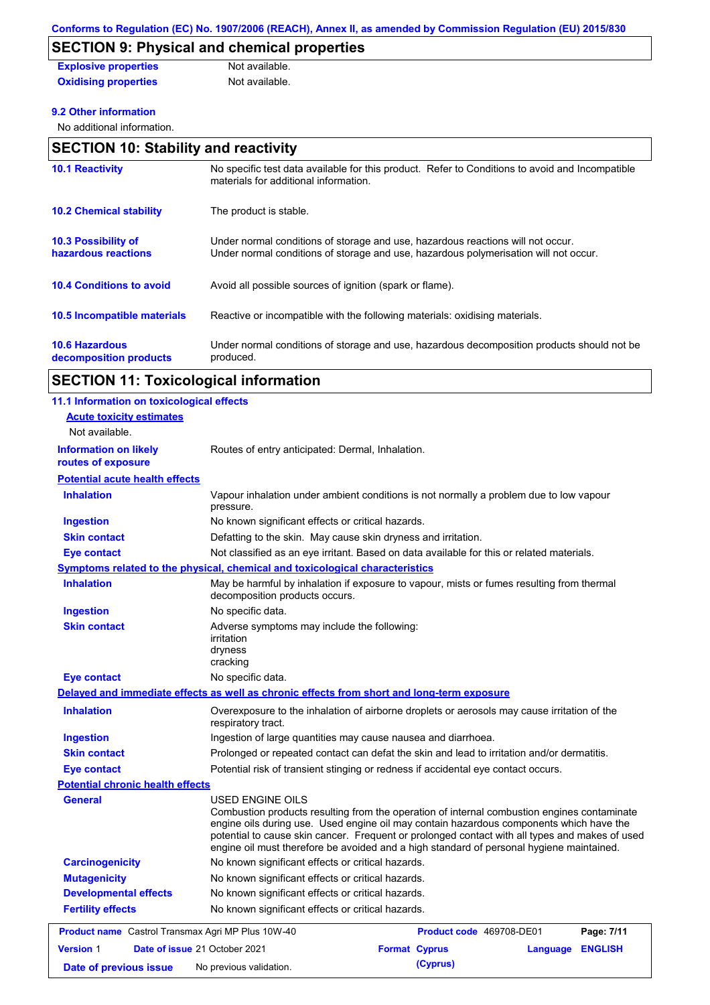# **SECTION 9: Physical and chemical properties**

| <b>Explosive properties</b> | Not available. |
|-----------------------------|----------------|
| <b>Oxidising properties</b> | Not available. |

#### **9.2 Other information**

No additional information.

| <b>SECTION 10: Stability and reactivity</b>       |                                                                                                                                                                         |  |  |  |
|---------------------------------------------------|-------------------------------------------------------------------------------------------------------------------------------------------------------------------------|--|--|--|
| <b>10.1 Reactivity</b>                            | No specific test data available for this product. Refer to Conditions to avoid and Incompatible<br>materials for additional information.                                |  |  |  |
| <b>10.2 Chemical stability</b>                    | The product is stable.                                                                                                                                                  |  |  |  |
| <b>10.3 Possibility of</b><br>hazardous reactions | Under normal conditions of storage and use, hazardous reactions will not occur.<br>Under normal conditions of storage and use, hazardous polymerisation will not occur. |  |  |  |
| <b>10.4 Conditions to avoid</b>                   | Avoid all possible sources of ignition (spark or flame).                                                                                                                |  |  |  |
| <b>10.5 Incompatible materials</b>                | Reactive or incompatible with the following materials: oxidising materials.                                                                                             |  |  |  |
| <b>10.6 Hazardous</b><br>decomposition products   | Under normal conditions of storage and use, hazardous decomposition products should not be<br>produced.                                                                 |  |  |  |

# **SECTION 11: Toxicological information**

| 11.1 Information on toxicological effects                |                                                                                                                                                                                                                                                                                                                                                                                                          |                          |          |                |
|----------------------------------------------------------|----------------------------------------------------------------------------------------------------------------------------------------------------------------------------------------------------------------------------------------------------------------------------------------------------------------------------------------------------------------------------------------------------------|--------------------------|----------|----------------|
| <b>Acute toxicity estimates</b>                          |                                                                                                                                                                                                                                                                                                                                                                                                          |                          |          |                |
| Not available.                                           |                                                                                                                                                                                                                                                                                                                                                                                                          |                          |          |                |
| <b>Information on likely</b><br>routes of exposure       | Routes of entry anticipated: Dermal, Inhalation.                                                                                                                                                                                                                                                                                                                                                         |                          |          |                |
| <b>Potential acute health effects</b>                    |                                                                                                                                                                                                                                                                                                                                                                                                          |                          |          |                |
| <b>Inhalation</b>                                        | Vapour inhalation under ambient conditions is not normally a problem due to low vapour<br>pressure.                                                                                                                                                                                                                                                                                                      |                          |          |                |
| <b>Ingestion</b>                                         | No known significant effects or critical hazards.                                                                                                                                                                                                                                                                                                                                                        |                          |          |                |
| <b>Skin contact</b>                                      | Defatting to the skin. May cause skin dryness and irritation.                                                                                                                                                                                                                                                                                                                                            |                          |          |                |
| <b>Eye contact</b>                                       | Not classified as an eye irritant. Based on data available for this or related materials.                                                                                                                                                                                                                                                                                                                |                          |          |                |
|                                                          | Symptoms related to the physical, chemical and toxicological characteristics                                                                                                                                                                                                                                                                                                                             |                          |          |                |
| <b>Inhalation</b>                                        | May be harmful by inhalation if exposure to vapour, mists or fumes resulting from thermal<br>decomposition products occurs.                                                                                                                                                                                                                                                                              |                          |          |                |
| <b>Ingestion</b>                                         | No specific data.                                                                                                                                                                                                                                                                                                                                                                                        |                          |          |                |
| <b>Skin contact</b>                                      | Adverse symptoms may include the following:<br>irritation<br>dryness<br>cracking                                                                                                                                                                                                                                                                                                                         |                          |          |                |
| Eye contact                                              | No specific data.                                                                                                                                                                                                                                                                                                                                                                                        |                          |          |                |
|                                                          | Delayed and immediate effects as well as chronic effects from short and long-term exposure                                                                                                                                                                                                                                                                                                               |                          |          |                |
| <b>Inhalation</b>                                        | Overexposure to the inhalation of airborne droplets or aerosols may cause irritation of the<br>respiratory tract.                                                                                                                                                                                                                                                                                        |                          |          |                |
| <b>Ingestion</b>                                         | Ingestion of large quantities may cause nausea and diarrhoea.                                                                                                                                                                                                                                                                                                                                            |                          |          |                |
| <b>Skin contact</b>                                      | Prolonged or repeated contact can defat the skin and lead to irritation and/or dermatitis.                                                                                                                                                                                                                                                                                                               |                          |          |                |
| <b>Eye contact</b>                                       | Potential risk of transient stinging or redness if accidental eye contact occurs.                                                                                                                                                                                                                                                                                                                        |                          |          |                |
| <b>Potential chronic health effects</b>                  |                                                                                                                                                                                                                                                                                                                                                                                                          |                          |          |                |
| <b>General</b>                                           | USED ENGINE OILS<br>Combustion products resulting from the operation of internal combustion engines contaminate<br>engine oils during use. Used engine oil may contain hazardous components which have the<br>potential to cause skin cancer. Frequent or prolonged contact with all types and makes of used<br>engine oil must therefore be avoided and a high standard of personal hygiene maintained. |                          |          |                |
| <b>Carcinogenicity</b>                                   | No known significant effects or critical hazards.                                                                                                                                                                                                                                                                                                                                                        |                          |          |                |
| <b>Mutagenicity</b>                                      | No known significant effects or critical hazards.                                                                                                                                                                                                                                                                                                                                                        |                          |          |                |
| <b>Developmental effects</b>                             | No known significant effects or critical hazards.                                                                                                                                                                                                                                                                                                                                                        |                          |          |                |
| <b>Fertility effects</b>                                 | No known significant effects or critical hazards.                                                                                                                                                                                                                                                                                                                                                        |                          |          |                |
| <b>Product name</b> Castrol Transmax Agri MP Plus 10W-40 |                                                                                                                                                                                                                                                                                                                                                                                                          | Product code 469708-DE01 |          | Page: 7/11     |
| <b>Version 1</b><br>Date of issue 21 October 2021        |                                                                                                                                                                                                                                                                                                                                                                                                          | <b>Format Cyprus</b>     | Language | <b>ENGLISH</b> |
|                                                          |                                                                                                                                                                                                                                                                                                                                                                                                          | (Cyprus)                 |          |                |
| Date of previous issue                                   | No previous validation.                                                                                                                                                                                                                                                                                                                                                                                  |                          |          |                |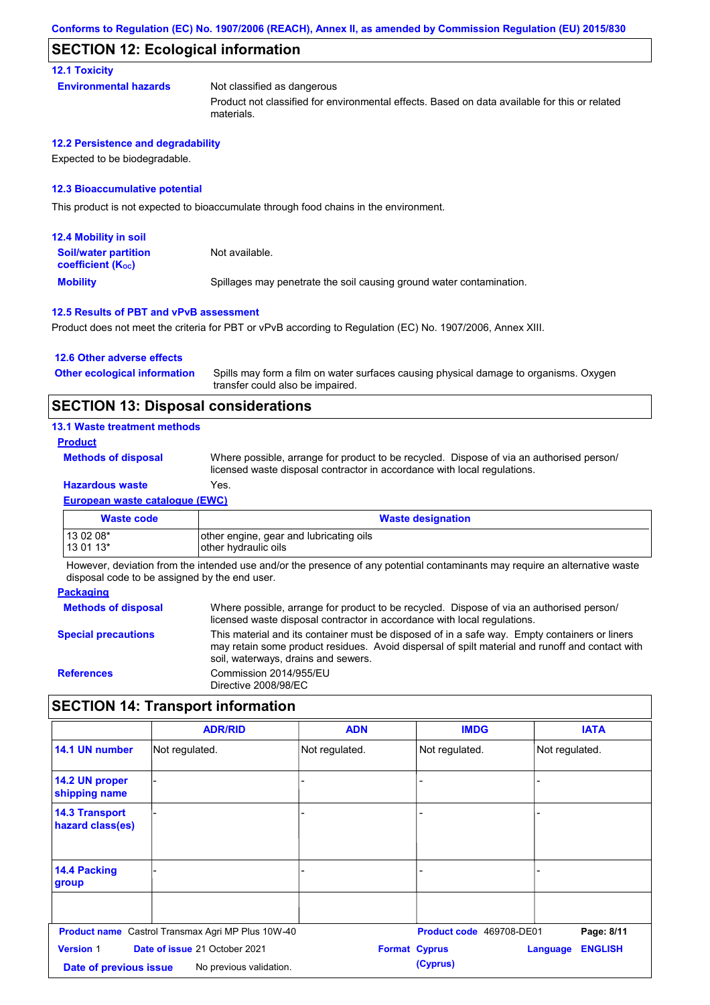### **SECTION 12: Ecological information**

#### **12.1 Toxicity**

| Environmental hazards | Not classified as dangerous                                                                   |
|-----------------------|-----------------------------------------------------------------------------------------------|
|                       | Product not classified for environmental effects. Based on data available for this or related |

#### **12.2 Persistence and degradability**

Expected to be biodegradable.

#### **12.3 Bioaccumulative potential**

This product is not expected to bioaccumulate through food chains in the environment.

materials.

| <b>12.4 Mobility in soil</b>                            |                                                                      |
|---------------------------------------------------------|----------------------------------------------------------------------|
| <b>Soil/water partition</b><br><b>coefficient (Koc)</b> | Not available.                                                       |
| <b>Mobility</b>                                         | Spillages may penetrate the soil causing ground water contamination. |

#### **12.5 Results of PBT and vPvB assessment**

Product does not meet the criteria for PBT or vPvB according to Regulation (EC) No. 1907/2006, Annex XIII.

#### **12.6 Other adverse effects**

Spills may form a film on water surfaces causing physical damage to organisms. Oxygen transfer could also be impaired. **Other ecological information**

### **SECTION 13: Disposal considerations**

#### **13.1 Waste treatment methods**

#### **Product**

**Methods of disposal**

Where possible, arrange for product to be recycled. Dispose of via an authorised person/ licensed waste disposal contractor in accordance with local regulations.

## **Hazardous waste** Yes.

**European waste catalogue (EWC)**

| Waste code | <b>Waste designation</b>                |
|------------|-----------------------------------------|
| $130208*$  | other engine, gear and lubricating oils |
| $130113*$  | other hydraulic oils                    |

However, deviation from the intended use and/or the presence of any potential contaminants may require an alternative waste disposal code to be assigned by the end user.

#### **Packaging**

| Where possible, arrange for product to be recycled. Dispose of via an authorised person/<br>licensed waste disposal contractor in accordance with local regulations.                                                                    |
|-----------------------------------------------------------------------------------------------------------------------------------------------------------------------------------------------------------------------------------------|
| This material and its container must be disposed of in a safe way. Empty containers or liners<br>may retain some product residues. Avoid dispersal of spilt material and runoff and contact with<br>soil, waterways, drains and sewers. |
| Commission 2014/955/EU<br>Directive 2008/98/EC                                                                                                                                                                                          |
|                                                                                                                                                                                                                                         |

# **SECTION 14: Transport information**

|                                            | <b>ADR/RID</b>                                           | <b>ADN</b>           | <b>IMDG</b>              | <b>IATA</b>                |
|--------------------------------------------|----------------------------------------------------------|----------------------|--------------------------|----------------------------|
| 14.1 UN number                             | Not regulated.                                           | Not regulated.       | Not regulated.           | Not regulated.             |
| 14.2 UN proper<br>shipping name            |                                                          | ۰                    |                          |                            |
| <b>14.3 Transport</b><br>hazard class(es)  |                                                          |                      |                          |                            |
| 14.4 Packing<br>group                      |                                                          |                      |                          |                            |
|                                            | <b>Product name</b> Castrol Transmax Agri MP Plus 10W-40 |                      | Product code 469708-DE01 | Page: 8/11                 |
| <b>Version 1</b><br>Date of previous issue | Date of issue 21 October 2021<br>No previous validation. | <b>Format Cyprus</b> | (Cyprus)                 | <b>ENGLISH</b><br>Language |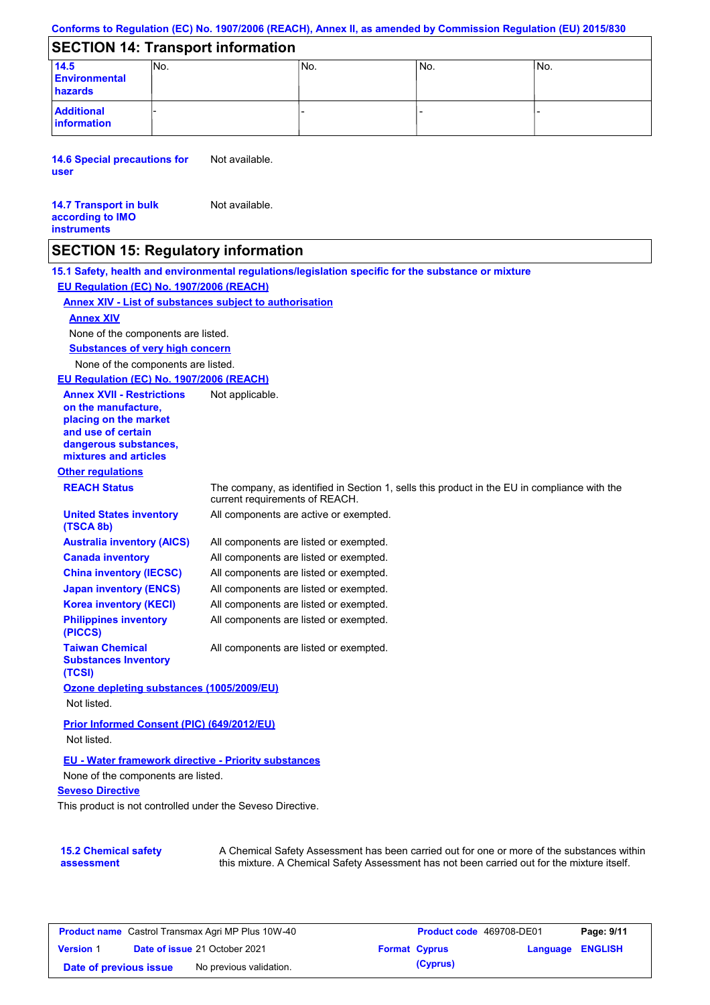#### **Conforms to Regulation (EC) No. 1907/2006 (REACH), Annex II, as amended by Commission Regulation (EU) 2015/830**

## **SECTION 14: Transport information**

| 14.5<br><b>Environmental</b><br>hazards | INO. | IN <sub>o</sub> | IN <sub>o</sub> | INo. |
|-----------------------------------------|------|-----------------|-----------------|------|
| <b>Additional</b><br>information        |      |                 |                 |      |

**14.6 Special precautions for user** Not available.

#### **14.7 Transport in bulk according to IMO instruments** Not available.

### **SECTION 15: Regulatory information**

**15.1 Safety, health and environmental regulations/legislation specific for the substance or mixture**

**EU Regulation (EC) No. 1907/2006 (REACH)**

#### **Annex XIV - List of substances subject to authorisation**

#### **Annex XIV**

None of the components are listed.

**Substances of very high concern**

None of the components are listed.

#### **EU Regulation (EC) No. 1907/2006 (REACH)**

**Other regulations REACH Status** The company, as identified in Section 1, sells this product in the EU in compliance with the current requirements of REACH. All components are listed or exempted. All components are listed or exempted. All components are listed or exempted. All components are listed or exempted. All components are active or exempted. All components are listed or exempted. All components are listed or exempted. **United States inventory (TSCA 8b) Australia inventory (AICS) Canada inventory China inventory (IECSC) Japan inventory (ENCS) Korea inventory (KECI) Philippines inventory (PICCS) Taiwan Chemical Substances Inventory (TCSI)** All components are listed or exempted. **Ozone depleting substances (1005/2009/EU)** Not listed. **Prior Informed Consent (PIC) (649/2012/EU)** Not listed. **Annex XVII - Restrictions on the manufacture, placing on the market and use of certain dangerous substances, mixtures and articles** Not applicable.

### **EU - Water framework directive - Priority substances**

None of the components are listed.

#### **Seveso Directive**

This product is not controlled under the Seveso Directive.

| <b>15.2 Chemical safety</b> | A Chemical Safety Assessment has been carried out for one or more of the substances within  |
|-----------------------------|---------------------------------------------------------------------------------------------|
| assessment                  | this mixture. A Chemical Safety Assessment has not been carried out for the mixture itself. |

| <b>Product name</b> Castrol Transmax Agri MP Plus 10W-40 |  |                                      | Product code 469708-DE01 | Page: 9/11 |                         |  |
|----------------------------------------------------------|--|--------------------------------------|--------------------------|------------|-------------------------|--|
| <b>Version 1</b>                                         |  | <b>Date of issue 21 October 2021</b> | <b>Format Cyprus</b>     |            | <b>Language ENGLISH</b> |  |
| Date of previous issue                                   |  | No previous validation.              |                          | (Cyprus)   |                         |  |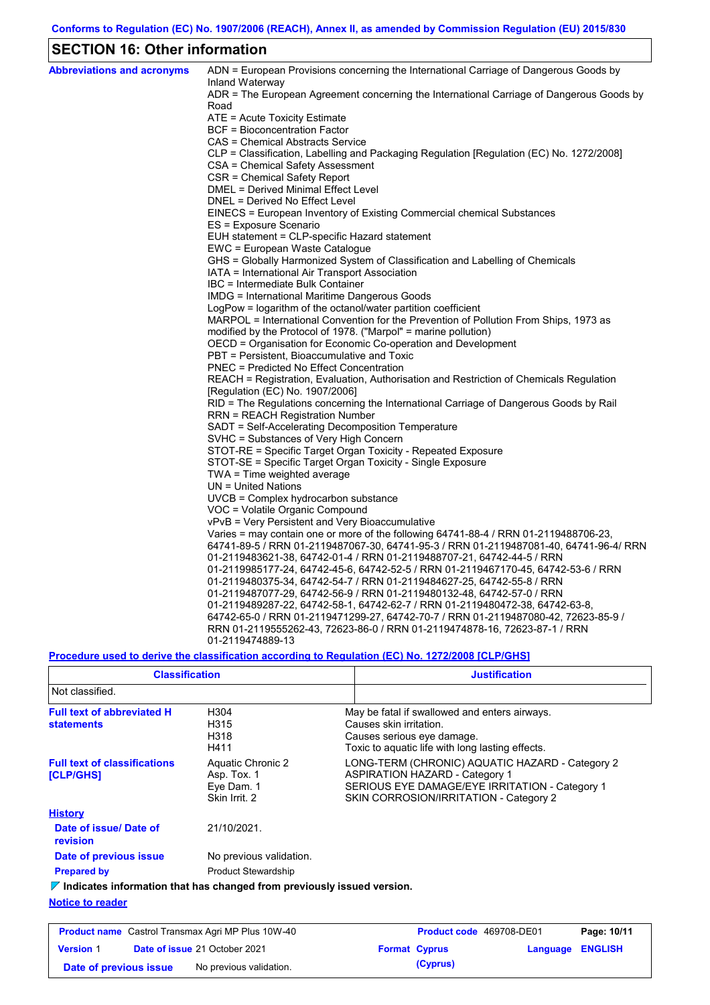# **SECTION 16: Other information**

| <b>Abbreviations and acronyms</b> | ADN = European Provisions concerning the International Carriage of Dangerous Goods by<br>Inland Waterway |
|-----------------------------------|----------------------------------------------------------------------------------------------------------|
|                                   | ADR = The European Agreement concerning the International Carriage of Dangerous Goods by                 |
|                                   | Road                                                                                                     |
|                                   | ATE = Acute Toxicity Estimate                                                                            |
|                                   | BCF = Bioconcentration Factor                                                                            |
|                                   | CAS = Chemical Abstracts Service                                                                         |
|                                   | CLP = Classification, Labelling and Packaging Regulation [Regulation (EC) No. 1272/2008]                 |
|                                   | CSA = Chemical Safety Assessment                                                                         |
|                                   | CSR = Chemical Safety Report                                                                             |
|                                   | DMEL = Derived Minimal Effect Level                                                                      |
|                                   | DNEL = Derived No Effect Level                                                                           |
|                                   | EINECS = European Inventory of Existing Commercial chemical Substances                                   |
|                                   | ES = Exposure Scenario                                                                                   |
|                                   | EUH statement = CLP-specific Hazard statement                                                            |
|                                   | EWC = European Waste Catalogue                                                                           |
|                                   | GHS = Globally Harmonized System of Classification and Labelling of Chemicals                            |
|                                   | IATA = International Air Transport Association                                                           |
|                                   | IBC = Intermediate Bulk Container<br>IMDG = International Maritime Dangerous Goods                       |
|                                   | LogPow = logarithm of the octanol/water partition coefficient                                            |
|                                   | MARPOL = International Convention for the Prevention of Pollution From Ships, 1973 as                    |
|                                   | modified by the Protocol of 1978. ("Marpol" = marine pollution)                                          |
|                                   | OECD = Organisation for Economic Co-operation and Development                                            |
|                                   | PBT = Persistent, Bioaccumulative and Toxic                                                              |
|                                   | PNEC = Predicted No Effect Concentration                                                                 |
|                                   | REACH = Registration, Evaluation, Authorisation and Restriction of Chemicals Regulation                  |
|                                   | [Regulation (EC) No. 1907/2006]                                                                          |
|                                   | RID = The Regulations concerning the International Carriage of Dangerous Goods by Rail                   |
|                                   | RRN = REACH Registration Number                                                                          |
|                                   | SADT = Self-Accelerating Decomposition Temperature                                                       |
|                                   | SVHC = Substances of Very High Concern                                                                   |
|                                   | STOT-RE = Specific Target Organ Toxicity - Repeated Exposure                                             |
|                                   | STOT-SE = Specific Target Organ Toxicity - Single Exposure                                               |
|                                   | TWA = Time weighted average                                                                              |
|                                   | $UN = United Nations$                                                                                    |
|                                   | UVCB = Complex hydrocarbon substance                                                                     |
|                                   | VOC = Volatile Organic Compound                                                                          |
|                                   | vPvB = Very Persistent and Very Bioaccumulative                                                          |
|                                   | Varies = may contain one or more of the following 64741-88-4 / RRN 01-2119488706-23,                     |
|                                   | 64741-89-5 / RRN 01-2119487067-30, 64741-95-3 / RRN 01-2119487081-40, 64741-96-4/ RRN                    |
|                                   | 01-2119483621-38, 64742-01-4 / RRN 01-2119488707-21, 64742-44-5 / RRN                                    |
|                                   | 01-2119985177-24, 64742-45-6, 64742-52-5 / RRN 01-2119467170-45, 64742-53-6 / RRN                        |
|                                   | 01-2119480375-34, 64742-54-7 / RRN 01-2119484627-25, 64742-55-8 / RRN                                    |
|                                   | 01-2119487077-29, 64742-56-9 / RRN 01-2119480132-48, 64742-57-0 / RRN                                    |
|                                   | 01-2119489287-22, 64742-58-1, 64742-62-7 / RRN 01-2119480472-38, 64742-63-8,                             |
|                                   | 64742-65-0 / RRN 01-2119471299-27, 64742-70-7 / RRN 01-2119487080-42, 72623-85-9 /                       |
|                                   | RRN 01-2119555262-43, 72623-86-0 / RRN 01-2119474878-16, 72623-87-1 / RRN                                |
|                                   | 01-2119474889-13                                                                                         |

### **Procedure used to derive the classification according to Regulation (EC) No. 1272/2008 [CLP/GHS]**

| <b>Classification</b>                                                                                      |                                                                 | <b>Justification</b>                                                                                                                                                                 |
|------------------------------------------------------------------------------------------------------------|-----------------------------------------------------------------|--------------------------------------------------------------------------------------------------------------------------------------------------------------------------------------|
| Not classified.                                                                                            |                                                                 |                                                                                                                                                                                      |
| <b>Full text of abbreviated H</b><br><b>statements</b>                                                     | H304<br>H315<br>H318<br>H411                                    | May be fatal if swallowed and enters airways.<br>Causes skin irritation.<br>Causes serious eye damage.<br>Toxic to aquatic life with long lasting effects.                           |
| <b>Full text of classifications</b><br>[CLP/GHS]                                                           | Aquatic Chronic 2<br>Asp. Tox. 1<br>Eve Dam. 1<br>Skin Irrit, 2 | LONG-TERM (CHRONIC) AQUATIC HAZARD - Category 2<br><b>ASPIRATION HAZARD - Category 1</b><br>SERIOUS EYE DAMAGE/EYE IRRITATION - Category 1<br>SKIN CORROSION/IRRITATION - Category 2 |
| <b>History</b>                                                                                             |                                                                 |                                                                                                                                                                                      |
| Date of issue/Date of<br>revision                                                                          | 21/10/2021.                                                     |                                                                                                                                                                                      |
| Date of previous issue                                                                                     | No previous validation.                                         |                                                                                                                                                                                      |
| <b>Prepared by</b>                                                                                         | <b>Product Stewardship</b>                                      |                                                                                                                                                                                      |
| $\nabla$ Indicates information that has changed from previously issued version.<br><b>Notice to reader</b> |                                                                 |                                                                                                                                                                                      |

| <b>Product name</b> Castrol Transmax Agri MP Plus 10W-40 |  | <b>Product code</b> 469708-DE01      | Page: 10/11 |                      |                  |  |
|----------------------------------------------------------|--|--------------------------------------|-------------|----------------------|------------------|--|
| <b>Version 1</b>                                         |  | <b>Date of issue 21 October 2021</b> |             | <b>Format Cyprus</b> | Language ENGLISH |  |
| Date of previous issue                                   |  | No previous validation.              |             | (Cyprus)             |                  |  |